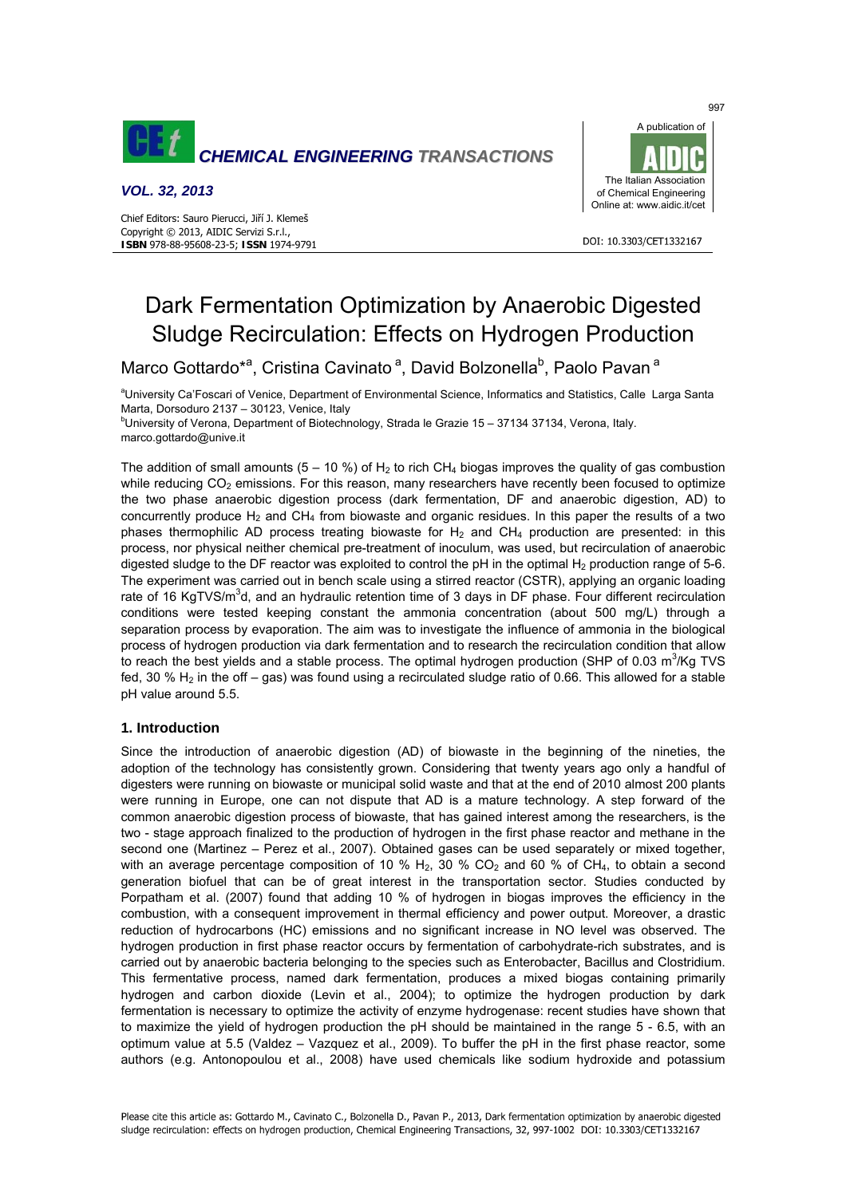

## *VOL. 32, 2013*

Chief Editors: Sauro Pierucci, Jiří J. Klemeš Copyright © 2013, AIDIC Servizi S.r.l., **ISBN** 978-88-95608-23-5; **ISSN** 1974-9791



#### DOI: 10.3303/CFT1332167

# Dark Fermentation Optimization by Anaerobic Digested Sludge Recirculation: Effects on Hydrogen Production

Marco Gottardo<sup>\*a</sup>, Cristina Cavinato<sup>a</sup>, David Bolzonella<sup>b</sup>, Paolo Pavan<sup>a</sup>

aUniversity Ca'Foscari of Venice, Department of Environmental Science, Informatics and Statistics, Calle Larga Santa Marta, Dorsoduro 2137 – 30123, Venice, Italy

<sup>b</sup>University of Verona, Department of Biotechnology, Strada le Grazie 15 - 37134 37134, Verona, Italy. marco.gottardo@unive.it

The addition of small amounts (5 – 10 %) of  $H_2$  to rich CH<sub>4</sub> biogas improves the quality of gas combustion while reducing  $CO<sub>2</sub>$  emissions. For this reason, many researchers have recently been focused to optimize the two phase anaerobic digestion process (dark fermentation, DF and anaerobic digestion, AD) to concurrently produce  $H_2$  and  $CH_4$  from biowaste and organic residues. In this paper the results of a two phases thermophilic AD process treating biowaste for  $H_2$  and CH<sub>4</sub> production are presented: in this process, nor physical neither chemical pre-treatment of inoculum, was used, but recirculation of anaerobic digested sludge to the DF reactor was exploited to control the pH in the optimal  $H_2$  production range of 5-6. The experiment was carried out in bench scale using a stirred reactor (CSTR), applying an organic loading rate of 16 KgTVS/m<sup>3</sup>d, and an hydraulic retention time of 3 days in DF phase. Four different recirculation conditions were tested keeping constant the ammonia concentration (about 500 mg/L) through a separation process by evaporation. The aim was to investigate the influence of ammonia in the biological process of hydrogen production via dark fermentation and to research the recirculation condition that allow to reach the best yields and a stable process. The optimal hydrogen production (SHP of 0.03 m<sup>3</sup>/Kg TVS fed, 30 %  $H_2$  in the off – gas) was found using a recirculated sludge ratio of 0.66. This allowed for a stable pH value around 5.5.

## **1. Introduction**

Since the introduction of anaerobic digestion (AD) of biowaste in the beginning of the nineties, the adoption of the technology has consistently grown. Considering that twenty years ago only a handful of digesters were running on biowaste or municipal solid waste and that at the end of 2010 almost 200 plants were running in Europe, one can not dispute that AD is a mature technology. A step forward of the common anaerobic digestion process of biowaste, that has gained interest among the researchers, is the two - stage approach finalized to the production of hydrogen in the first phase reactor and methane in the second one (Martinez – Perez et al., 2007). Obtained gases can be used separately or mixed together, with an average percentage composition of 10 %  $H_2$ , 30 % CO<sub>2</sub> and 60 % of CH<sub>4</sub>, to obtain a second generation biofuel that can be of great interest in the transportation sector. Studies conducted by Porpatham et al. (2007) found that adding 10 % of hydrogen in biogas improves the efficiency in the combustion, with a consequent improvement in thermal efficiency and power output. Moreover, a drastic reduction of hydrocarbons (HC) emissions and no significant increase in NO level was observed. The hydrogen production in first phase reactor occurs by fermentation of carbohydrate-rich substrates, and is carried out by anaerobic bacteria belonging to the species such as Enterobacter, Bacillus and Clostridium. This fermentative process, named dark fermentation, produces a mixed biogas containing primarily hydrogen and carbon dioxide (Levin et al., 2004); to optimize the hydrogen production by dark fermentation is necessary to optimize the activity of enzyme hydrogenase: recent studies have shown that to maximize the yield of hydrogen production the pH should be maintained in the range 5 - 6.5, with an optimum value at 5.5 (Valdez – Vazquez et al., 2009). To buffer the pH in the first phase reactor, some authors (e.g. Antonopoulou et al., 2008) have used chemicals like sodium hydroxide and potassium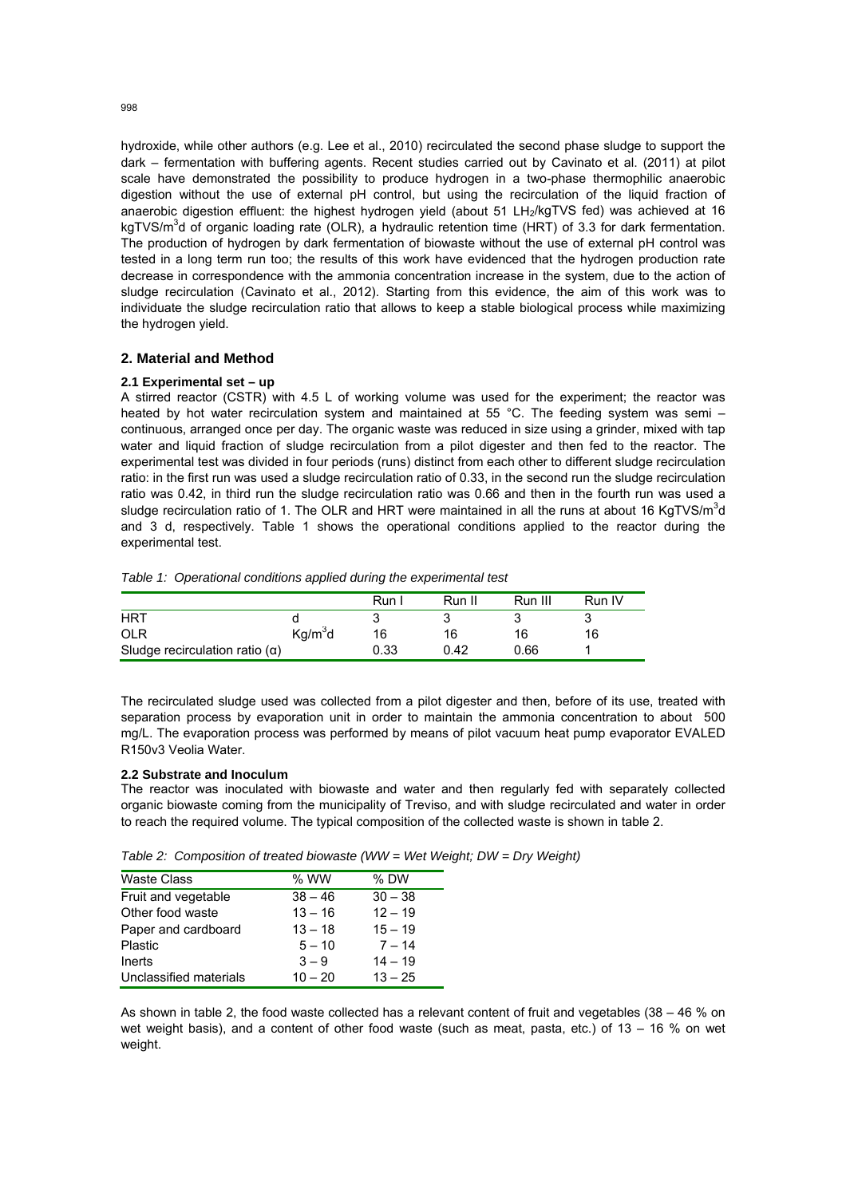hydroxide, while other authors (e.g. Lee et al., 2010) recirculated the second phase sludge to support the dark – fermentation with buffering agents. Recent studies carried out by Cavinato et al. (2011) at pilot scale have demonstrated the possibility to produce hydrogen in a two-phase thermophilic anaerobic digestion without the use of external pH control, but using the recirculation of the liquid fraction of anaerobic digestion effluent: the highest hydrogen yield (about 51 LH<sub>2</sub>/kgTVS fed) was achieved at 16 kgTVS/m<sup>3</sup>d of organic loading rate (OLR), a hydraulic retention time (HRT) of 3.3 for dark fermentation. The production of hydrogen by dark fermentation of biowaste without the use of external pH control was tested in a long term run too; the results of this work have evidenced that the hydrogen production rate decrease in correspondence with the ammonia concentration increase in the system, due to the action of sludge recirculation (Cavinato et al., 2012). Starting from this evidence, the aim of this work was to individuate the sludge recirculation ratio that allows to keep a stable biological process while maximizing the hydrogen yield.

## **2. Material and Method**

#### **2.1 Experimental set – up**

A stirred reactor (CSTR) with 4.5 L of working volume was used for the experiment; the reactor was heated by hot water recirculation system and maintained at 55 °C. The feeding system was semi – continuous, arranged once per day. The organic waste was reduced in size using a grinder, mixed with tap water and liquid fraction of sludge recirculation from a pilot digester and then fed to the reactor. The experimental test was divided in four periods (runs) distinct from each other to different sludge recirculation ratio: in the first run was used a sludge recirculation ratio of 0.33, in the second run the sludge recirculation ratio was 0.42, in third run the sludge recirculation ratio was 0.66 and then in the fourth run was used a sludge recirculation ratio of 1. The OLR and HRT were maintained in all the runs at about 16 KgTVS/m<sup>3</sup>d and 3 d, respectively. Table 1 shows the operational conditions applied to the reactor during the experimental test.

*Table 1: Operational conditions applied during the experimental test* 

|                                       |                     | Run I | Run II | Run III | Run IV |
|---------------------------------------|---------------------|-------|--------|---------|--------|
| <b>HRT</b>                            |                     |       |        |         |        |
| <b>OLR</b>                            | Kg/m <sup>3</sup> d | 16    | 16     | 16      | 16     |
| Sludge recirculation ratio $(\alpha)$ |                     | 0.33  | 0.42   | 0.66    |        |

The recirculated sludge used was collected from a pilot digester and then, before of its use, treated with separation process by evaporation unit in order to maintain the ammonia concentration to about 500 mg/L. The evaporation process was performed by means of pilot vacuum heat pump evaporator EVALED R150v3 Veolia Water.

## **2.2 Substrate and Inoculum**

The reactor was inoculated with biowaste and water and then regularly fed with separately collected organic biowaste coming from the municipality of Treviso, and with sludge recirculated and water in order to reach the required volume. The typical composition of the collected waste is shown in table 2.

|  | Table 2: Composition of treated biowaste (WW = Wet Weight; $DW = Dry$ Weight) |  |  |
|--|-------------------------------------------------------------------------------|--|--|
|  |                                                                               |  |  |

| <b>Waste Class</b>     | $%$ WW    | $%$ DW    |
|------------------------|-----------|-----------|
| Fruit and vegetable    | $38 - 46$ | $30 - 38$ |
| Other food waste       | $13 - 16$ | $12 - 19$ |
| Paper and cardboard    | $13 - 18$ | $15 - 19$ |
| <b>Plastic</b>         | $5 - 10$  | $7 - 14$  |
| Inerts                 | $3 - 9$   | $14 - 19$ |
| Unclassified materials | $10 - 20$ | $13 - 25$ |

As shown in table 2, the food waste collected has a relevant content of fruit and vegetables (38 – 46 % on wet weight basis), and a content of other food waste (such as meat, pasta, etc.) of 13 – 16 % on wet weight.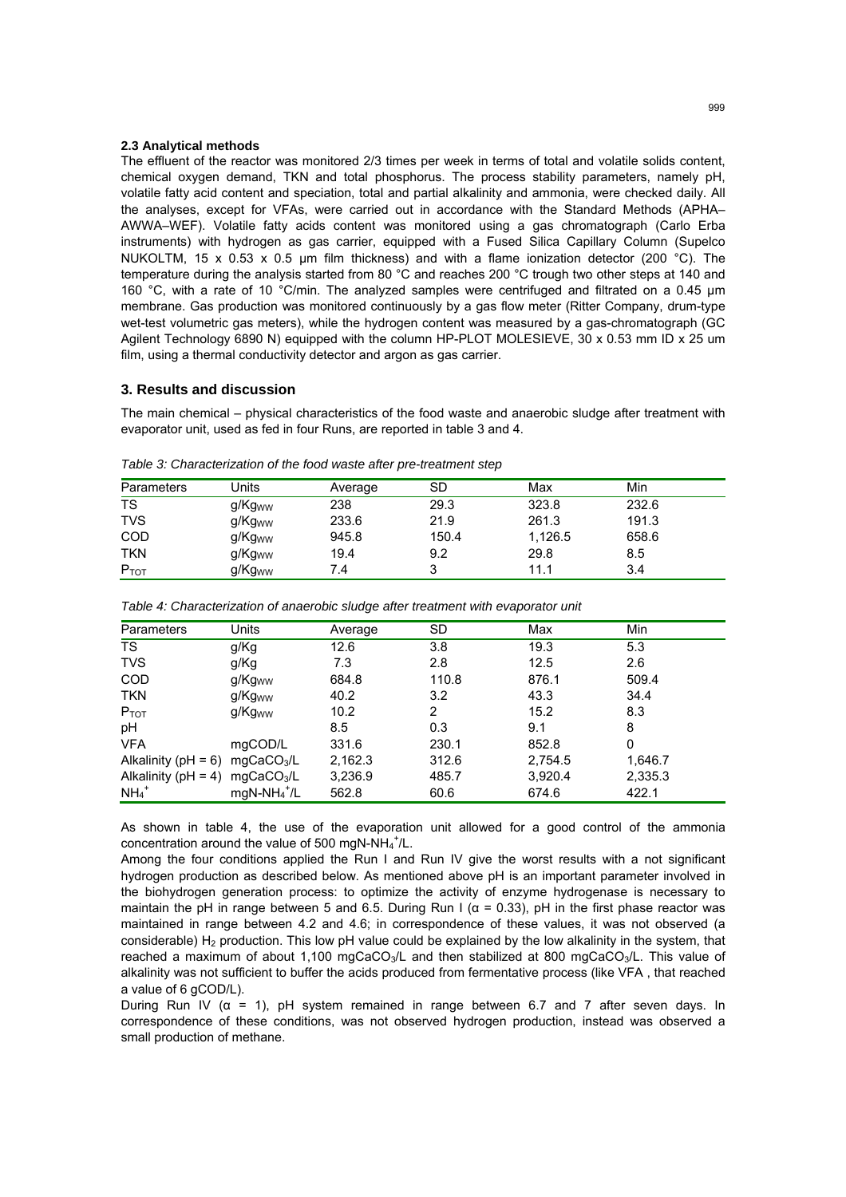#### **2.3 Analytical methods**

The effluent of the reactor was monitored 2/3 times per week in terms of total and volatile solids content, chemical oxygen demand, TKN and total phosphorus. The process stability parameters, namely pH, volatile fatty acid content and speciation, total and partial alkalinity and ammonia, were checked daily. All the analyses, except for VFAs, were carried out in accordance with the Standard Methods (APHA– AWWA–WEF). Volatile fatty acids content was monitored using a gas chromatograph (Carlo Erba instruments) with hydrogen as gas carrier, equipped with a Fused Silica Capillary Column (Supelco NUKOLTM, 15 x 0.53 x 0.5 um film thickness) and with a flame ionization detector (200 °C). The temperature during the analysis started from 80 °C and reaches 200 °C trough two other steps at 140 and 160 °C, with a rate of 10 °C/min. The analyzed samples were centrifuged and filtrated on a 0.45 µm membrane. Gas production was monitored continuously by a gas flow meter (Ritter Company, drum-type wet-test volumetric gas meters), while the hydrogen content was measured by a gas-chromatograph (GC Agilent Technology 6890 N) equipped with the column HP-PLOT MOLESIEVE, 30 x 0.53 mm ID x 25 um film, using a thermal conductivity detector and argon as gas carrier.

## **3. Results and discussion**

The main chemical – physical characteristics of the food waste and anaerobic sludge after treatment with evaporator unit, used as fed in four Runs, are reported in table 3 and 4.

| Parameters | Jnits              | Average | SD    | Max     | Min   |  |
|------------|--------------------|---------|-------|---------|-------|--|
| <b>TS</b>  | g/Kg <sub>ww</sub> | 238     | 29.3  | 323.8   | 232.6 |  |
| <b>TVS</b> | g/Kg <sub>ww</sub> | 233.6   | 21.9  | 261.3   | 191.3 |  |
| <b>COD</b> | g/Kg <sub>ww</sub> | 945.8   | 150.4 | 1.126.5 | 658.6 |  |
| <b>TKN</b> | g/Kg <sub>ww</sub> | 19.4    | 9.2   | 29.8    | 8.5   |  |
| $P_{TOT}$  | g/Kg <sub>ww</sub> | 7.4     | 3     | 11.1    | 3.4   |  |

*Table 3: Characterization of the food waste after pre-treatment step* 

| Parameters              | Units                  | Average | <b>SD</b> | Max     | Min     |  |
|-------------------------|------------------------|---------|-----------|---------|---------|--|
| <b>TS</b>               | g/Kg                   | 12.6    | 3.8       | 19.3    | 5.3     |  |
| <b>TVS</b>              | g/Kg                   | 7.3     | 2.8       | 12.5    | 2.6     |  |
| <b>COD</b>              | g/Kg <sub>ww</sub>     | 684.8   | 110.8     | 876.1   | 509.4   |  |
| <b>TKN</b>              | g/Kg <sub>ww</sub>     | 40.2    | 3.2       | 43.3    | 34.4    |  |
| $P_{TOT}$               | g/Kg <sub>ww</sub>     | 10.2    | 2         | 15.2    | 8.3     |  |
| pH                      |                        | 8.5     | 0.3       | 9.1     | 8       |  |
| <b>VFA</b>              | mgCOD/L                | 331.6   | 230.1     | 852.8   | 0       |  |
| Alkalinity ( $pH = 6$ ) | mgCaCO <sub>3</sub> /L | 2,162.3 | 312.6     | 2,754.5 | 1,646.7 |  |
| Alkalinity ( $pH = 4$ ) | mgCaCO <sub>3</sub> /L | 3,236.9 | 485.7     | 3,920.4 | 2,335.3 |  |
| $NH_4$ <sup>+</sup>     | $mgN-NH_4^+$ /L        | 562.8   | 60.6      | 674.6   | 422.1   |  |

*Table 4: Characterization of anaerobic sludge after treatment with evaporator unit* 

As shown in table 4, the use of the evaporation unit allowed for a good control of the ammonia concentration around the value of 500 mgN-NH $_4^+$ /L.

Among the four conditions applied the Run I and Run IV give the worst results with a not significant hydrogen production as described below. As mentioned above pH is an important parameter involved in the biohydrogen generation process: to optimize the activity of enzyme hydrogenase is necessary to maintain the pH in range between 5 and 6.5. During Run I ( $\alpha$  = 0.33), pH in the first phase reactor was maintained in range between 4.2 and 4.6; in correspondence of these values, it was not observed (a considerable)  $H_2$  production. This low pH value could be explained by the low alkalinity in the system, that reached a maximum of about 1,100 mgCaCO<sub>3</sub>/L and then stabilized at 800 mgCaCO<sub>3</sub>/L. This value of alkalinity was not sufficient to buffer the acids produced from fermentative process (like VFA , that reached a value of 6 gCOD/L).

During Run IV ( $α = 1$ ), pH system remained in range between 6.7 and 7 after seven days. In correspondence of these conditions, was not observed hydrogen production, instead was observed a small production of methane.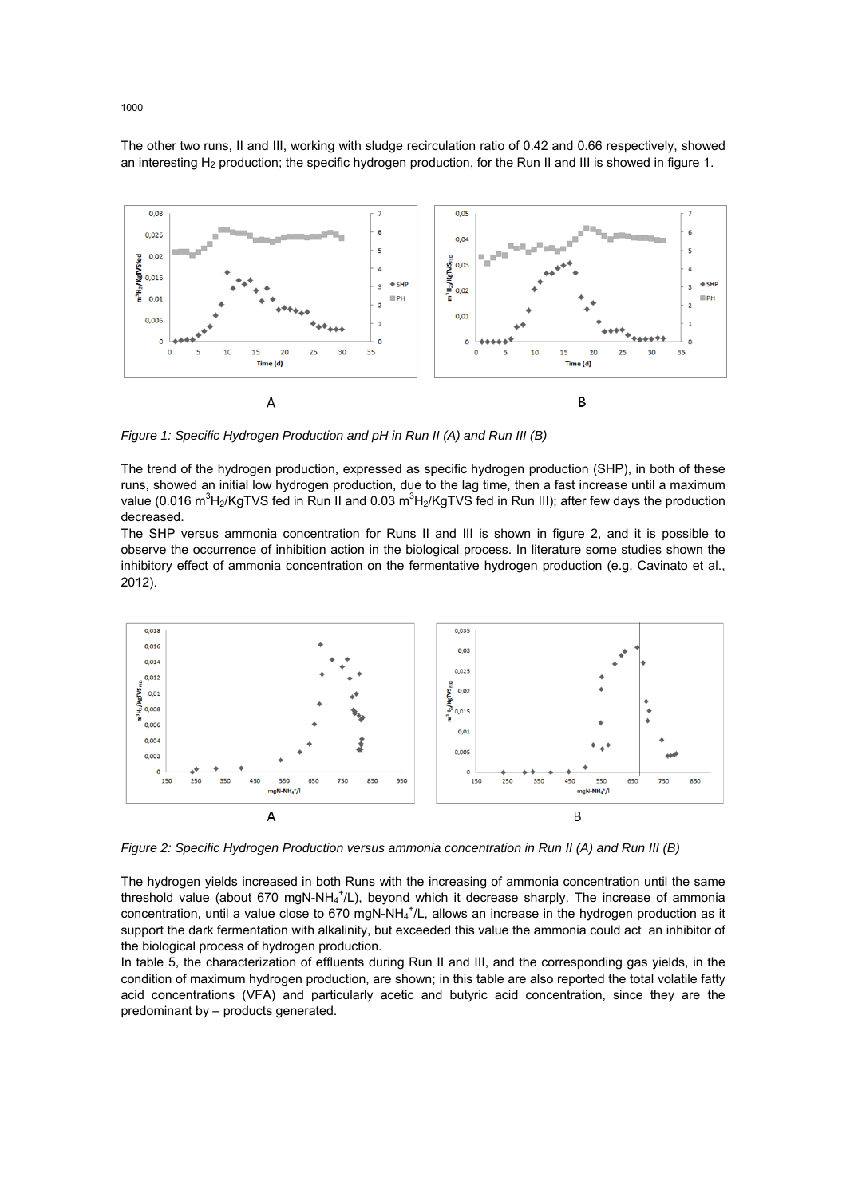The other two runs, II and III, working with sludge recirculation ratio of 0.42 and 0.66 respectively, showed an interesting H<sub>2</sub> production; the specific hydrogen production, for the Run II and III is showed in figure 1.



*Figure 1: Specific Hydrogen Production and pH in Run II (A) and Run III (B)* 

The trend of the hydrogen production, expressed as specific hydrogen production (SHP), in both of these runs, showed an initial low hydrogen production, due to the lag time, then a fast increase until a maximum value (0.016 m<sup>3</sup>H<sub>2</sub>/KgTVS fed in Run II and 0.03 m<sup>3</sup>H<sub>2</sub>/KgTVS fed in Run III); after few days the production decreased.

The SHP versus ammonia concentration for Runs II and III is shown in figure 2, and it is possible to observe the occurrence of inhibition action in the biological process. In literature some studies shown the inhibitory effect of ammonia concentration on the fermentative hydrogen production (e.g. Cavinato et al., 2012).



*Figure 2: Specific Hydrogen Production versus ammonia concentration in Run II (A) and Run III (B)* 

The hydrogen yields increased in both Runs with the increasing of ammonia concentration until the same threshold value (about 670 mgN-NH<sub>4</sub><sup>+</sup>/L), beyond which it decrease sharply. The increase of ammonia concentration, until a value close to 670 mgN-NH<sub>4</sub><sup>+</sup>/L, allows an increase in the hydrogen production as it support the dark fermentation with alkalinity, but exceeded this value the ammonia could act an inhibitor of the biological process of hydrogen production.

In table 5, the characterization of effluents during Run II and III, and the corresponding gas yields, in the condition of maximum hydrogen production, are shown; in this table are also reported the total volatile fatty acid concentrations (VFA) and particularly acetic and butyric acid concentration, since they are the predominant by – products generated.

1000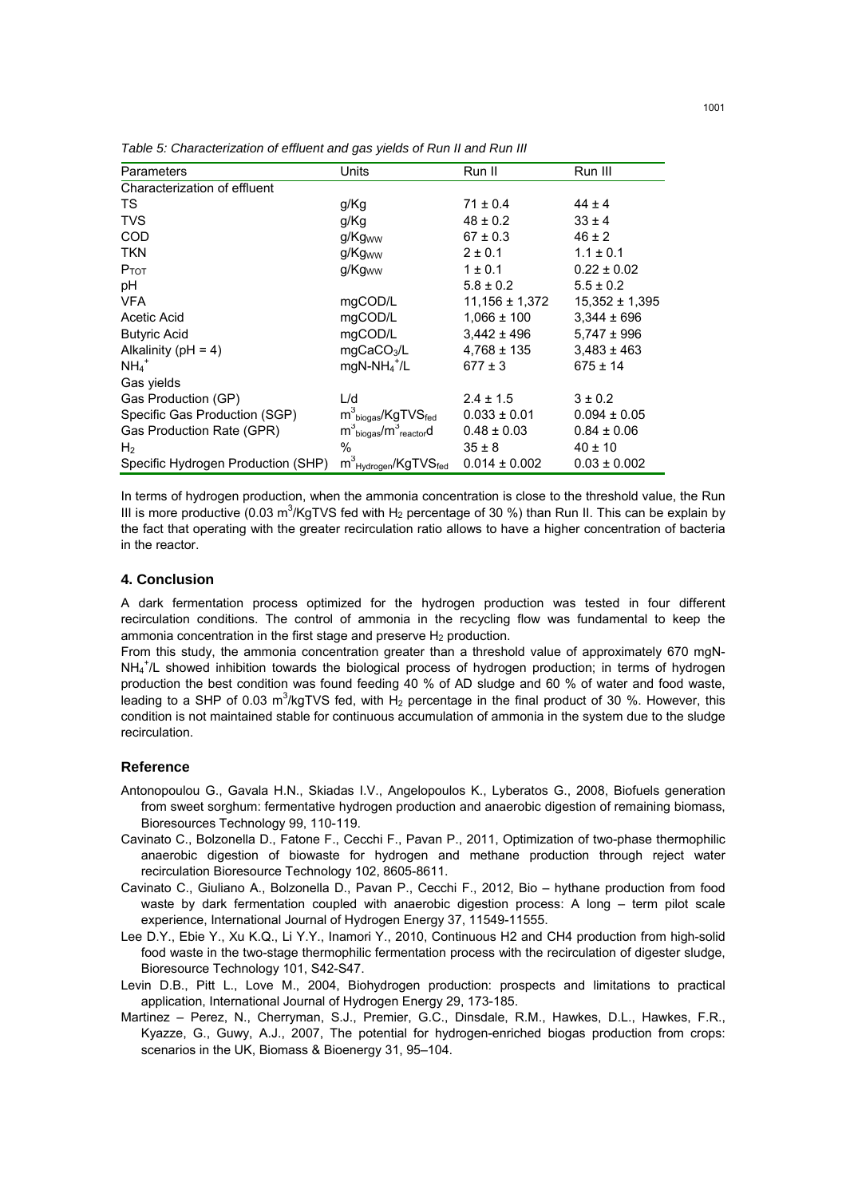| Parameters                         | Units                                                | Run II             | Run III            |
|------------------------------------|------------------------------------------------------|--------------------|--------------------|
| Characterization of effluent       |                                                      |                    |                    |
| TS                                 | g/Kg                                                 | $71 \pm 0.4$       | $44 \pm 4$         |
| <b>TVS</b>                         | g/Kg                                                 | $48 \pm 0.2$       | $33 \pm 4$         |
| <b>COD</b>                         | g/Kg <sub>ww</sub>                                   | $67 \pm 0.3$       | $46 \pm 2$         |
| <b>TKN</b>                         | g/Kg <sub>ww</sub>                                   | $2 \pm 0.1$        | $1.1 \pm 0.1$      |
| $P_{TOT}$                          | g/Kg <sub>ww</sub>                                   | $1 \pm 0.1$        | $0.22 \pm 0.02$    |
| рH                                 |                                                      | $5.8 \pm 0.2$      | $5.5 \pm 0.2$      |
| <b>VFA</b>                         | mgCOD/L                                              | $11,156 \pm 1,372$ | $15,352 \pm 1,395$ |
| Acetic Acid                        | mgCOD/L                                              | $1,066 \pm 100$    | $3,344 \pm 696$    |
| <b>Butyric Acid</b>                | mgCOD/L                                              | $3,442 \pm 496$    | $5,747 \pm 996$    |
| Alkalinity ( $pH = 4$ )            | mgCaCO <sub>3</sub> /L                               | $4,768 \pm 135$    | $3,483 \pm 463$    |
| $NH_4$ <sup>+</sup>                | $mgN-NH_4^+$ /L                                      | $677 \pm 3$        | $675 \pm 14$       |
| Gas yields                         |                                                      |                    |                    |
| Gas Production (GP)                | L/d                                                  | $2.4 \pm 1.5$      | $3 \pm 0.2$        |
| Specific Gas Production (SGP)      | $m^3$ <sub>biogas</sub> /KgTVS <sub>fed</sub>        | $0.033 \pm 0.01$   | $0.094 \pm 0.05$   |
| Gas Production Rate (GPR)          | $m^3$ <sub>biogas</sub> / $m^3$ <sub>reactor</sub> d | $0.48 \pm 0.03$    | $0.84 \pm 0.06$    |
| H <sub>2</sub>                     | %                                                    | $35 \pm 8$         | $40 \pm 10$        |
| Specific Hydrogen Production (SHP) | $m^3_{\,Hydrogen}/\text{KgTVS}_{\text{fed}}$         | $0.014 \pm 0.002$  | $0.03 \pm 0.002$   |

*Table 5: Characterization of effluent and gas yields of Run II and Run III* 

In terms of hydrogen production, when the ammonia concentration is close to the threshold value, the Run III is more productive (0.03 m<sup>3</sup>/KgTVS fed with H<sub>2</sub> percentage of 30 %) than Run II. This can be explain by the fact that operating with the greater recirculation ratio allows to have a higher concentration of bacteria in the reactor.

#### **4. Conclusion**

A dark fermentation process optimized for the hydrogen production was tested in four different recirculation conditions. The control of ammonia in the recycling flow was fundamental to keep the ammonia concentration in the first stage and preserve  $H_2$  production.

From this study, the ammonia concentration greater than a threshold value of approximately 670 mgN-NH<sub>4</sub><sup>+</sup>/L showed inhibition towards the biological process of hydrogen production; in terms of hydrogen production the best condition was found feeding 40 % of AD sludge and 60 % of water and food waste, leading to a SHP of 0.03 m<sup>3</sup>/kgTVS fed, with H<sub>2</sub> percentage in the final product of 30 %. However, this condition is not maintained stable for continuous accumulation of ammonia in the system due to the sludge recirculation.

#### **Reference**

- Antonopoulou G., Gavala H.N., Skiadas I.V., Angelopoulos K., Lyberatos G., 2008, Biofuels generation from sweet sorghum: fermentative hydrogen production and anaerobic digestion of remaining biomass, Bioresources Technology 99, 110-119.
- Cavinato C., Bolzonella D., Fatone F., Cecchi F., Pavan P., 2011, Optimization of two-phase thermophilic anaerobic digestion of biowaste for hydrogen and methane production through reject water recirculation Bioresource Technology 102, 8605-8611.
- Cavinato C., Giuliano A., Bolzonella D., Pavan P., Cecchi F., 2012, Bio hythane production from food waste by dark fermentation coupled with anaerobic digestion process: A long – term pilot scale experience, International Journal of Hydrogen Energy 37, 11549-11555.
- Lee D.Y., Ebie Y., Xu K.Q., Li Y.Y., Inamori Y., 2010, Continuous H2 and CH4 production from high-solid food waste in the two-stage thermophilic fermentation process with the recirculation of digester sludge, Bioresource Technology 101, S42-S47.
- Levin D.B., Pitt L., Love M., 2004, Biohydrogen production: prospects and limitations to practical application, International Journal of Hydrogen Energy 29, 173-185.
- Martinez Perez, N., Cherryman, S.J., Premier, G.C., Dinsdale, R.M., Hawkes, D.L., Hawkes, F.R., Kyazze, G., Guwy, A.J., 2007, The potential for hydrogen-enriched biogas production from crops: scenarios in the UK, Biomass & Bioenergy 31, 95–104.